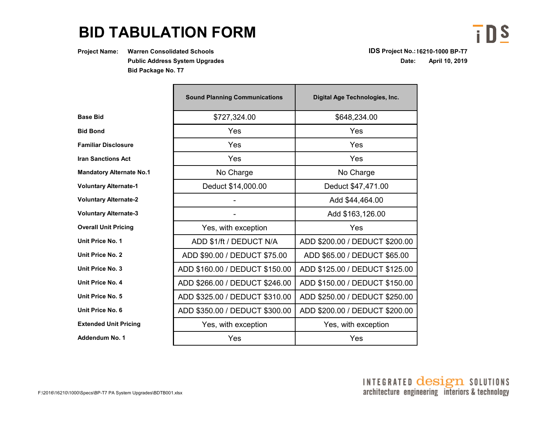## **BID TABULATION FORM**

**Project Name: Warren Consolidated Schools IDS Project No.:16210-1000 BP-T7 Public Address System UpgradesBid Package No. T7**

**Date: April 10, 2019**

 $\overline{\mathbf{i}}$  DS

|                     | <b>Sound Planning Communications</b> | Digital Age Technologies, Inc. |  |  |
|---------------------|--------------------------------------|--------------------------------|--|--|
| d                   | \$727,324.00                         | \$648,234.00                   |  |  |
| d                   | Yes                                  | Yes                            |  |  |
| <b>Disclosure</b>   | Yes                                  | Yes                            |  |  |
| ctions Act          | Yes                                  | Yes                            |  |  |
| ory Alternate No.1  | No Charge                            | No Charge                      |  |  |
| ry Alternate-1      | Deduct \$14,000.00                   | Deduct \$47,471.00             |  |  |
| ry Alternate-2      |                                      | Add \$44,464.00                |  |  |
| ry Alternate-3      |                                      | Add \$163,126.00               |  |  |
| <b>Jnit Pricing</b> | Yes, with exception                  | Yes                            |  |  |
| e No. 1:            | ADD \$1/ft / DEDUCT N/A              | ADD \$200.00 / DEDUCT \$200.00 |  |  |
| e No. 2:            | ADD \$90.00 / DEDUCT \$75.00         | ADD \$65.00 / DEDUCT \$65.00   |  |  |
| e No. 3:            | ADD \$160.00 / DEDUCT \$150.00       | ADD \$125.00 / DEDUCT \$125.00 |  |  |
| e No. 4:            | ADD \$266.00 / DEDUCT \$246.00       | ADD \$150.00 / DEDUCT \$150.00 |  |  |
| e No. 5:            | ADD \$325.00 / DEDUCT \$310.00       | ADD \$250.00 / DEDUCT \$250.00 |  |  |
| e No. 6:            | ADD \$350.00 / DEDUCT \$300.00       | ADD \$200.00 / DEDUCT \$200.00 |  |  |
| d Unit Pricing      | Yes, with exception                  | Yes, with exception            |  |  |
| um No. 1            | Yes                                  | Yes                            |  |  |

**Familiar Disclosure**

**Bid Bond**

**Base Bid**

**Iran Sanctions Act**

**Mandatory Alternate N** 

**Voluntary Alternate-1**

**Voluntary Alternate-2**

**Voluntary Alternate-3**

**Overall Unit Pricing**

**Unit Price No. 1**

**Unit Price No. 2**

**Unit Price No. 3**

**Unit Price No. 4**

**Unit Price No. 5**

**Unit Price No. 6**

**Extended Unit Pricing**

**Addendum No. 1**